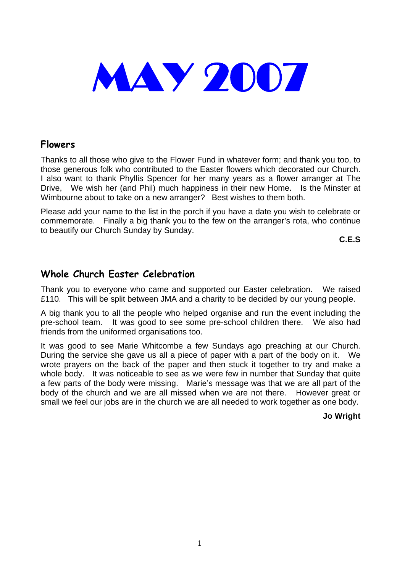

### **Flowers**

Thanks to all those who give to the Flower Fund in whatever form; and thank you too, to those generous folk who contributed to the Easter flowers which decorated our Church. I also want to thank Phyllis Spencer for her many years as a flower arranger at The Drive, We wish her (and Phil) much happiness in their new Home. Is the Minster at Wimbourne about to take on a new arranger? Best wishes to them both.

Please add your name to the list in the porch if you have a date you wish to celebrate or commemorate. Finally a big thank you to the few on the arranger's rota, who continue to beautify our Church Sunday by Sunday.

**C.E.S** 

### **Whole Church Easter Celebration**

Thank you to everyone who came and supported our Easter celebration. We raised £110. This will be split between JMA and a charity to be decided by our young people.

A big thank you to all the people who helped organise and run the event including the pre-school team. It was good to see some pre-school children there. We also had friends from the uniformed organisations too.

It was good to see Marie Whitcombe a few Sundays ago preaching at our Church. During the service she gave us all a piece of paper with a part of the body on it. We wrote prayers on the back of the paper and then stuck it together to try and make a whole body. It was noticeable to see as we were few in number that Sunday that quite a few parts of the body were missing. Marie's message was that we are all part of the body of the church and we are all missed when we are not there. However great or small we feel our jobs are in the church we are all needed to work together as one body.

**Jo Wright**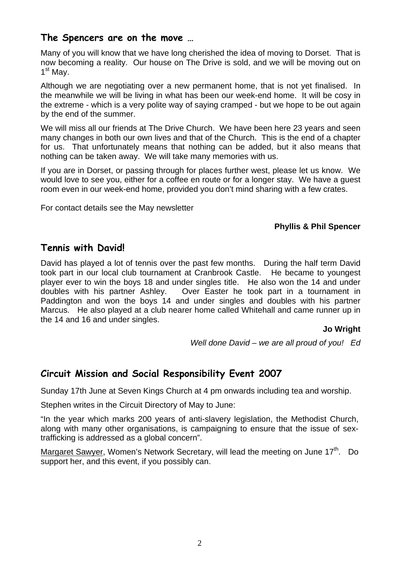### **The Spencers are on the move …**

Many of you will know that we have long cherished the idea of moving to Dorset. That is now becoming a reality. Our house on The Drive is sold, and we will be moving out on  $1<sup>st</sup>$  Mav.

Although we are negotiating over a new permanent home, that is not yet finalised. In the meanwhile we will be living in what has been our week-end home. It will be cosy in the extreme - which is a very polite way of saying cramped - but we hope to be out again by the end of the summer.

We will miss all our friends at The Drive Church. We have been here 23 years and seen many changes in both our own lives and that of the Church. This is the end of a chapter for us. That unfortunately means that nothing can be added, but it also means that nothing can be taken away. We will take many memories with us.

If you are in Dorset, or passing through for places further west, please let us know. We would love to see you, either for a coffee en route or for a longer stay. We have a guest room even in our week-end home, provided you don't mind sharing with a few crates.

For contact details see the May newsletter

### **Phyllis & Phil Spencer**

### **Tennis with David!**

David has played a lot of tennis over the past few months. During the half term David took part in our local club tournament at Cranbrook Castle. He became to youngest player ever to win the boys 18 and under singles title. He also won the 14 and under doubles with his partner Ashley. Over Easter he took part in a tournament in Paddington and won the boys 14 and under singles and doubles with his partner Marcus. He also played at a club nearer home called Whitehall and came runner up in the 14 and 16 and under singles.

### **Jo Wright**

*Well done David – we are all proud of you! Ed* 

### **Circuit Mission and Social Responsibility Event 2007**

Sunday 17th June at Seven Kings Church at 4 pm onwards including tea and worship.

Stephen writes in the Circuit Directory of May to June:

"In the year which marks 200 years of anti-slavery legislation, the Methodist Church, along with many other organisations, is campaigning to ensure that the issue of sextrafficking is addressed as a global concern".

Margaret Sawyer, Women's Network Secretary, will lead the meeting on June 17<sup>th</sup>. Do support her, and this event, if you possibly can.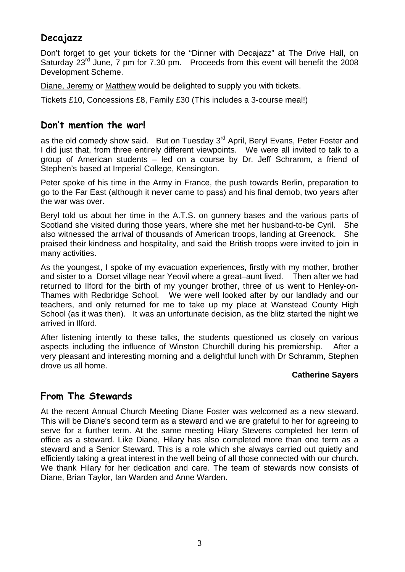# **Decajazz**

Don't forget to get your tickets for the "Dinner with Decajazz" at The Drive Hall, on Saturday 23<sup>rd</sup> June, 7 pm for 7.30 pm. Proceeds from this event will benefit the 2008 Development Scheme.

Diane, Jeremy or Matthew would be delighted to supply you with tickets.

Tickets £10, Concessions £8, Family £30 (This includes a 3-course meal!)

### **Don't mention the war!**

as the old comedy show said. But on Tuesday 3<sup>rd</sup> April, Beryl Evans, Peter Foster and I did just that, from three entirely different viewpoints. We were all invited to talk to a group of American students – led on a course by Dr. Jeff Schramm, a friend of Stephen's based at Imperial College, Kensington.

Peter spoke of his time in the Army in France, the push towards Berlin, preparation to go to the Far East (although it never came to pass) and his final demob, two years after the war was over.

Beryl told us about her time in the A.T.S. on gunnery bases and the various parts of Scotland she visited during those years, where she met her husband-to-be Cyril. She also witnessed the arrival of thousands of American troops, landing at Greenock. She praised their kindness and hospitality, and said the British troops were invited to join in many activities.

As the youngest, I spoke of my evacuation experiences, firstly with my mother, brother and sister to a Dorset village near Yeovil where a great–aunt lived. Then after we had returned to Ilford for the birth of my younger brother, three of us went to Henley-on-Thames with Redbridge School. We were well looked after by our landlady and our teachers, and only returned for me to take up my place at Wanstead County High School (as it was then). It was an unfortunate decision, as the blitz started the night we arrived in Ilford.

After listening intently to these talks, the students questioned us closely on various aspects including the influence of Winston Churchill during his premiership. After a very pleasant and interesting morning and a delightful lunch with Dr Schramm, Stephen drove us all home.

### **Catherine Sayers**

### **From The Stewards**

At the recent Annual Church Meeting Diane Foster was welcomed as a new steward. This will be Diane's second term as a steward and we are grateful to her for agreeing to serve for a further term. At the same meeting Hilary Stevens completed her term of office as a steward. Like Diane, Hilary has also completed more than one term as a steward and a Senior Steward. This is a role which she always carried out quietly and efficiently taking a great interest in the well being of all those connected with our church. We thank Hilary for her dedication and care. The team of stewards now consists of Diane, Brian Taylor, Ian Warden and Anne Warden.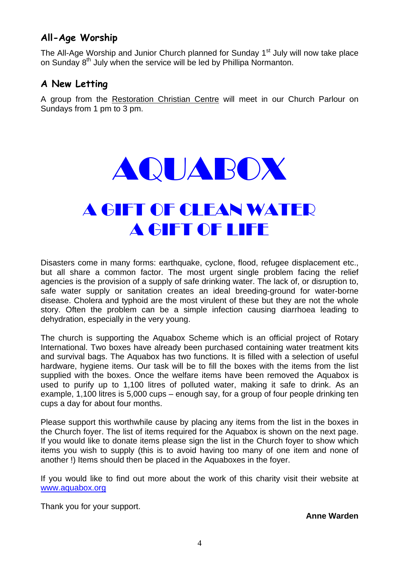# **All-Age Worship**

The All-Age Worship and Junior Church planned for Sunday  $1<sup>st</sup>$  July will now take place on Sunday 8<sup>th</sup> July when the service will be led by Phillipa Normanton.

# **A New Letting**

A group from the Restoration Christian Centre will meet in our Church Parlour on Sundays from 1 pm to 3 pm.



# A GIFT OF CLEAN WATER A GIFT OF LIFE

Disasters come in many forms: earthquake, cyclone, flood, refugee displacement etc., but all share a common factor. The most urgent single problem facing the relief agencies is the provision of a supply of safe drinking water. The lack of, or disruption to, safe water supply or sanitation creates an ideal breeding-ground for water-borne disease. Cholera and typhoid are the most virulent of these but they are not the whole story. Often the problem can be a simple infection causing diarrhoea leading to dehydration, especially in the very young.

The church is supporting the Aquabox Scheme which is an official project of Rotary International. Two boxes have already been purchased containing water treatment kits and survival bags. The Aquabox has two functions. It is filled with a selection of useful hardware, hygiene items. Our task will be to fill the boxes with the items from the list supplied with the boxes. Once the welfare items have been removed the Aquabox is used to purify up to 1,100 litres of polluted water, making it safe to drink. As an example, 1,100 litres is 5,000 cups – enough say, for a group of four people drinking ten cups a day for about four months.

Please support this worthwhile cause by placing any items from the list in the boxes in the Church foyer. The list of items required for the Aquabox is shown on the next page. If you would like to donate items please sign the list in the Church foyer to show which items you wish to supply (this is to avoid having too many of one item and none of another !) Items should then be placed in the Aquaboxes in the foyer.

If you would like to find out more about the work of this charity visit their website at [www.aquabox.org](http://www.aquabox.org/)

Thank you for your support.

**Anne Warden**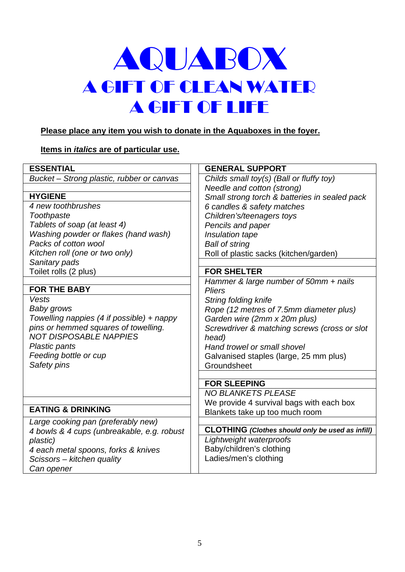# AQUABOX A GIFT OF CLEAN WATER A GIFT OF LIFE

### **Please place any item you wish to donate in the Aquaboxes in the foyer.**

### **Items in** *italics* **are of particular use.**

| <b>ESSENTIAL</b>                                     | <b>GENERAL SUPPORT</b>                                  |
|------------------------------------------------------|---------------------------------------------------------|
| Bucket – Strong plastic, rubber or canvas            | Childs small toy(s) (Ball or fluffy toy)                |
|                                                      | Needle and cotton (strong)                              |
| <b>HYGIENE</b>                                       | Small strong torch & batteries in sealed pack           |
| 4 new toothbrushes                                   | 6 candles & safety matches                              |
| Toothpaste                                           | Children's/teenagers toys                               |
| Tablets of soap (at least 4)                         | Pencils and paper                                       |
| Washing powder or flakes (hand wash)                 | Insulation tape                                         |
| Packs of cotton wool                                 | <b>Ball of string</b>                                   |
| Kitchen roll (one or two only)                       | Roll of plastic sacks (kitchen/garden)                  |
| Sanitary pads                                        |                                                         |
| Toilet rolls (2 plus)                                | <b>FOR SHELTER</b>                                      |
|                                                      | Hammer & large number of 50mm + nails                   |
| <b>FOR THE BABY</b>                                  | <b>Pliers</b>                                           |
| Vests                                                | String folding knife                                    |
| Baby grows                                           | Rope (12 metres of 7.5mm diameter plus)                 |
| Towelling nappies $(4 \text{ if possible}) + n$ appy | Garden wire (2mm x 20m plus)                            |
| pins or hemmed squares of towelling.                 | Screwdriver & matching screws (cross or slot            |
| <b>NOT DISPOSABLE NAPPIES</b>                        | head)                                                   |
| Plastic pants                                        | Hand trowel or small shovel                             |
| Feeding bottle or cup                                | Galvanised staples (large, 25 mm plus)                  |
| Safety pins                                          | Groundsheet                                             |
|                                                      |                                                         |
|                                                      | <b>FOR SLEEPING</b>                                     |
|                                                      | <b>NO BLANKETS PLEASE</b>                               |
| <b>EATING &amp; DRINKING</b>                         | We provide 4 survival bags with each box                |
|                                                      | Blankets take up too much room                          |
| Large cooking pan (preferably new)                   | <b>CLOTHING</b> (Clothes should only be used as infill) |
| 4 bowls & 4 cups (unbreakable, e.g. robust           | Lightweight waterproofs                                 |
| plastic)                                             | Baby/children's clothing                                |
| 4 each metal spoons, forks & knives                  | Ladies/men's clothing                                   |
| Scissors - kitchen quality                           |                                                         |
| Can opener                                           |                                                         |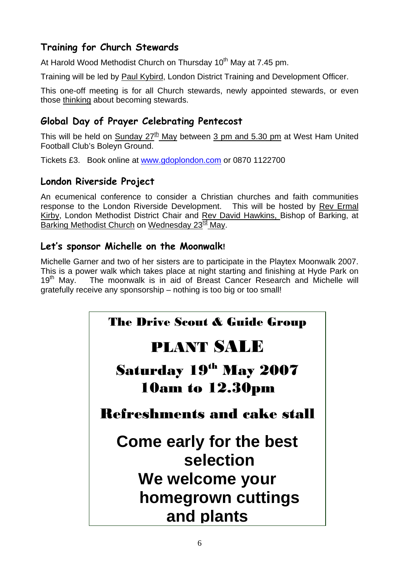# **Training for Church Stewards**

At Harold Wood Methodist Church on Thursday 10<sup>th</sup> May at 7.45 pm.

Training will be led by Paul Kybird, London District Training and Development Officer.

This one-off meeting is for all Church stewards, newly appointed stewards, or even those thinking about becoming stewards.

# **Global Day of Prayer Celebrating Pentecost**

This will be held on Sunday  $27<sup>th</sup>$  May between 3 pm and 5.30 pm at West Ham United Football Club's Boleyn Ground.

Tickets £3. Book online at [www.gdoplondon.com](http://www.gdoplondon.com/) or 0870 1122700

## **London Riverside Project**

An ecumenical conference to consider a Christian churches and faith communities response to the London Riverside Development. This will be hosted by Rev Ermal Kirby, London Methodist District Chair and Rev David Hawkins, Bishop of Barking, at Barking Methodist Church on Wednesday 23<sup>rd</sup> May.

## **Let's sponsor Michelle on the Moonwalk!**

Michelle Garner and two of her sisters are to participate in the Playtex Moonwalk 2007. This is a power walk which takes place at night starting and finishing at Hyde Park on 19<sup>th</sup> May. The moonwalk is in aid of Breast Cancer Research and Michelle will gratefully receive any sponsorship – nothing is too big or too small!

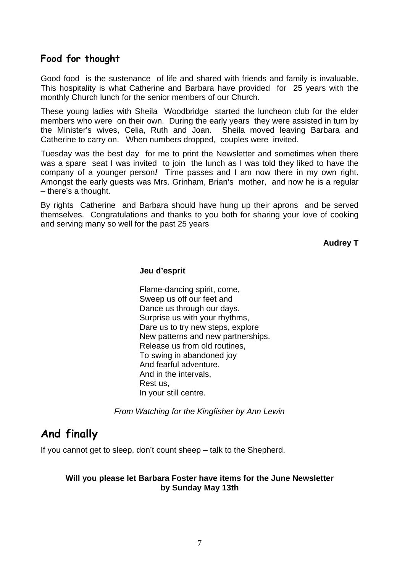### **Food for thought**

Good food is the sustenance of life and shared with friends and family is invaluable. This hospitality is what Catherine and Barbara have provided for 25 years with the monthly Church lunch for the senior members of our Church.

These young ladies with Sheila Woodbridge started the luncheon club for the elder members who were on their own. During the early years they were assisted in turn by the Minister's wives, Celia, Ruth and Joan. Sheila moved leaving Barbara and Catherine to carry on. When numbers dropped, couples were invited.

Tuesday was the best day for me to print the Newsletter and sometimes when there was a spare seat I was invited to join the lunch as I was told they liked to have the company of a younger person*!* Time passes and I am now there in my own right. Amongst the early guests was Mrs. Grinham, Brian's mother, and now he is a regular – there's a thought.

By rights Catherine and Barbara should have hung up their aprons and be served themselves. Congratulations and thanks to you both for sharing your love of cooking and serving many so well for the past 25 years

**Audrey T** 

#### **Jeu d'esprit**

Flame-dancing spirit, come, Sweep us off our feet and Dance us through our days. Surprise us with your rhythms, Dare us to try new steps, explore New patterns and new partnerships. Release us from old routines, To swing in abandoned joy And fearful adventure. And in the intervals, Rest us, In your still centre.

*From Watching for the Kingfisher by Ann Lewin*

# **And finally**

If you cannot get to sleep, don't count sheep – talk to the Shepherd.

### **Will you please let Barbara Foster have items for the June Newsletter by Sunday May 13th**